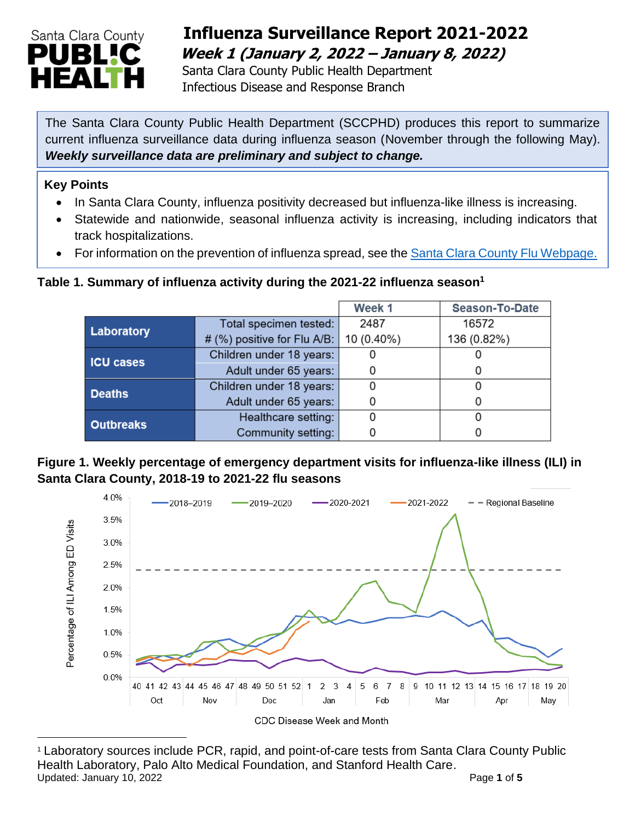

## **Influenza Surveillance Report 2021-2022 Week 1 (January 2, 2022 – January 8, 2022)**

 Santa Clara County Public Health Department Infectious Disease and Response Branch

The Santa Clara County Public Health Department (SCCPHD) produces this report to summarize current influenza surveillance data during influenza season (November through the following May). *Weekly surveillance data are preliminary and subject to change.*

#### **Key Points**

- In Santa Clara County, influenza positivity decreased but influenza-like illness is increasing.
- Statewide and nationwide, seasonal influenza activity is increasing, including indicators that track hospitalizations.
- For information on the prevention of influenza spread, see the [Santa Clara County Flu Webpage.](https://publichealth.sccgov.org/disease-information/influenza-flu)

#### **Table 1. Summary of influenza activity during the 2021-22 influenza season<sup>1</sup>**

|                  |                             | Week 1     | <b>Season-To-Date</b> |
|------------------|-----------------------------|------------|-----------------------|
| Laboratory       | Total specimen tested:      | 2487       | 16572                 |
|                  | # (%) positive for Flu A/B: | 10 (0.40%) | 136 (0.82%)           |
| <b>ICU cases</b> | Children under 18 years:    |            |                       |
|                  | Adult under 65 years:       |            |                       |
| <b>Deaths</b>    | Children under 18 years:    |            |                       |
|                  | Adult under 65 years:       |            |                       |
| <b>Outbreaks</b> | Healthcare setting:         |            |                       |
|                  | Community setting:          |            |                       |

#### **Figure 1. Weekly percentage of emergency department visits for influenza-like illness (ILI) in Santa Clara County, 2018-19 to 2021-22 flu seasons**



<sup>1</sup> Laboratory sources include PCR, rapid, and point-of-care tests from Santa Clara County Public Health Laboratory, Palo Alto Medical Foundation, and Stanford Health Care. Updated: January 10, 2022 **Page 1** of 5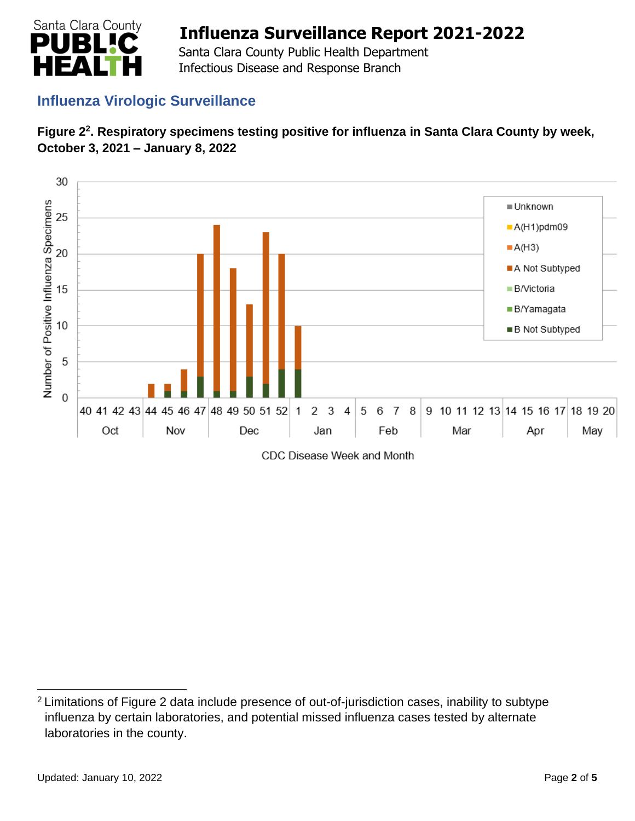

 Santa Clara County Public Health Department Infectious Disease and Response Branch

### **Influenza Virologic Surveillance**





<sup>2</sup> Limitations of Figure 2 data include presence of out-of-jurisdiction cases, inability to subtype influenza by certain laboratories, and potential missed influenza cases tested by alternate laboratories in the county.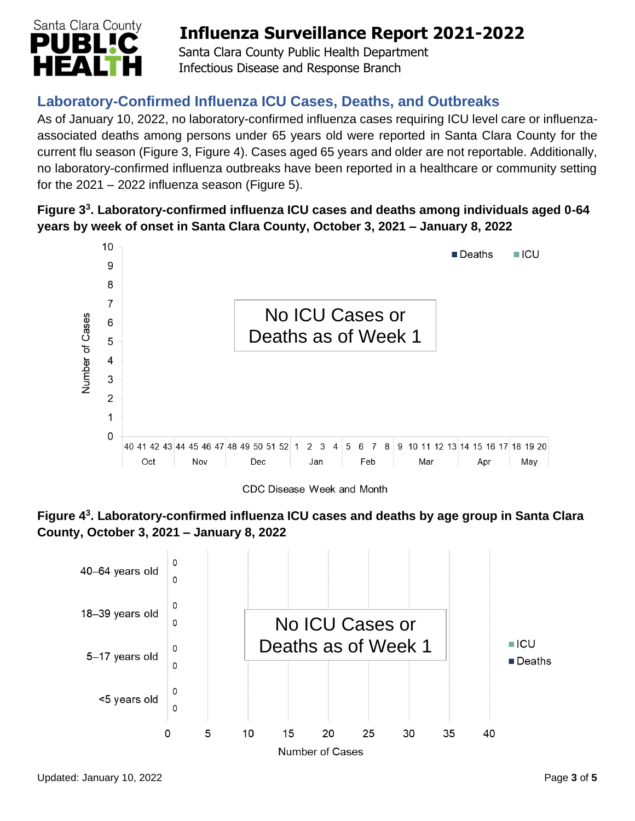

 Santa Clara County Public Health Department Infectious Disease and Response Branch

## **Laboratory-Confirmed Influenza ICU Cases, Deaths, and Outbreaks**

As of January 10, 2022, no laboratory-confirmed influenza cases requiring ICU level care or influenzaassociated deaths among persons under 65 years old were reported in Santa Clara County for the current flu season (Figure 3, Figure 4). Cases aged 65 years and older are not reportable. Additionally, no laboratory-confirmed influenza outbreaks have been reported in a healthcare or community setting for the  $2021 - 2022$  influenza season (Figure 5).

#### **Figure 3 3 . Laboratory-confirmed influenza ICU cases and deaths among individuals aged 0-64 years by week of onset in Santa Clara County, October 3, 2021 – January 8, 2022**



CDC Disease Week and Month



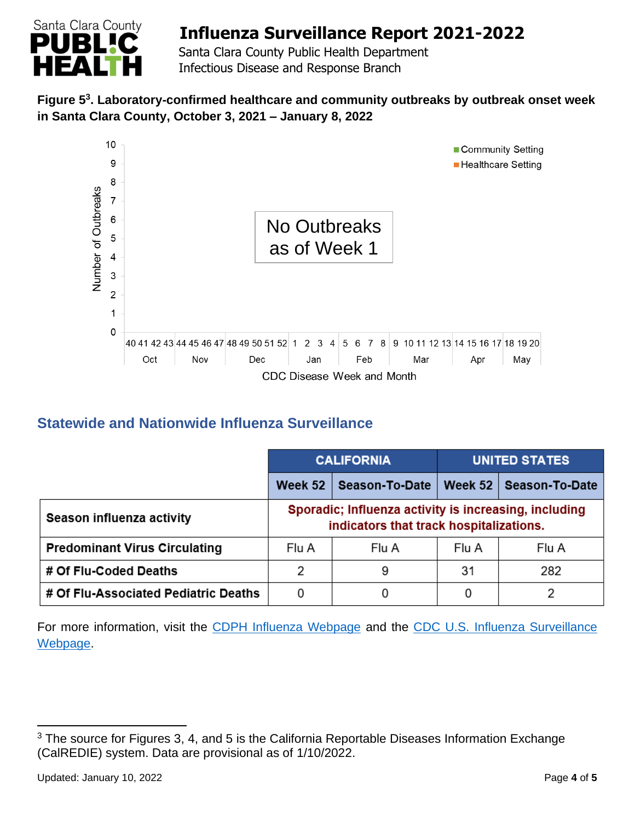

 Santa Clara County Public Health Department Infectious Disease and Response Branch

#### **Figure 5 3 . Laboratory-confirmed healthcare and community outbreaks by outbreak onset week in Santa Clara County, October 3, 2021 – January 8, 2022**



### **Statewide and Nationwide Influenza Surveillance**

|                                      | <b>CALIFORNIA</b>                                                                                |                | <b>UNITED STATES</b> |                |
|--------------------------------------|--------------------------------------------------------------------------------------------------|----------------|----------------------|----------------|
|                                      | Week 52                                                                                          | Season-To-Date | Week 52              | Season-To-Date |
| Season influenza activity            | Sporadic; Influenza activity is increasing, including<br>indicators that track hospitalizations. |                |                      |                |
| <b>Predominant Virus Circulating</b> | Flu A                                                                                            | Flu A          | Flu A                | Flu A          |
| # Of Flu-Coded Deaths                | 2                                                                                                | 9              | 31                   | 282            |
| # Of Flu-Associated Pediatric Deaths | 0                                                                                                | 0              | 0                    | っ              |

[Webpage](http://www.cdc.gov/flu/weekly/). For more information, visit the [CDPH Influenza Webpage](http://www.cdph.ca.gov/Programs/CID/DCDC/Pages/Immunization/Influenza.aspx) and the CDC U.S. Influenza Surveillance

<sup>&</sup>lt;sup>3</sup> The source for Figures 3, 4, and 5 is the California Reportable Diseases Information Exchange (CalREDIE) system. Data are provisional as of 1/10/2022.